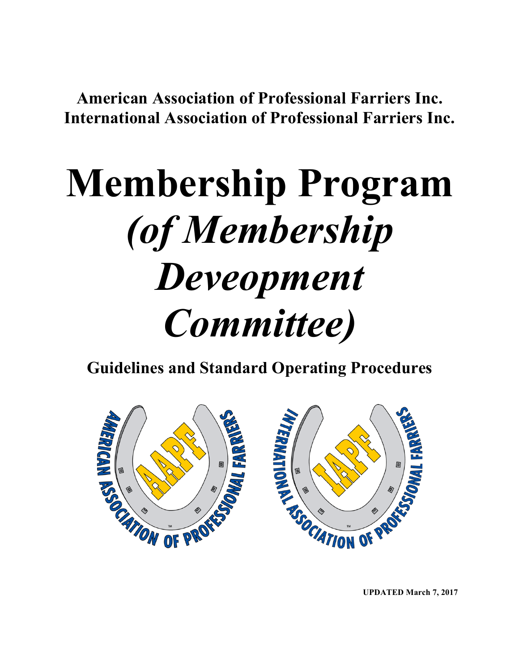**American Association of Professional Farriers Inc. International Association of Professional Farriers Inc.**

# **Membership Program** *(of Membership Deveopment Committee)*

**Guidelines and Standard Operating Procedures**



**UPDATED March 7, 2017**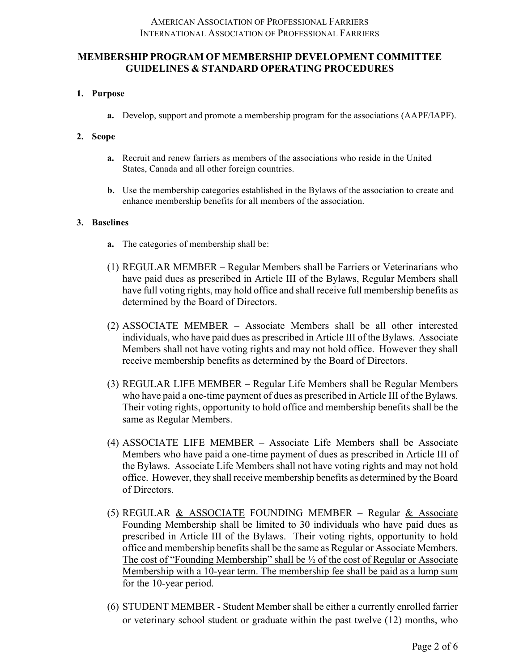# **1. Purpose**

**a.** Develop, support and promote a membership program for the associations (AAPF/IAPF).

# **2. Scope**

- **a.** Recruit and renew farriers as members of the associations who reside in the United States, Canada and all other foreign countries.
- **b.** Use the membership categories established in the Bylaws of the association to create and enhance membership benefits for all members of the association.

## **3. Baselines**

- **a.** The categories of membership shall be:
- (1) REGULAR MEMBER Regular Members shall be Farriers or Veterinarians who have paid dues as prescribed in Article III of the Bylaws, Regular Members shall have full voting rights, may hold office and shall receive full membership benefits as determined by the Board of Directors.
- (2) ASSOCIATE MEMBER Associate Members shall be all other interested individuals, who have paid dues as prescribed in Article III of the Bylaws. Associate Members shall not have voting rights and may not hold office. However they shall receive membership benefits as determined by the Board of Directors.
- (3) REGULAR LIFE MEMBER Regular Life Members shall be Regular Members who have paid a one-time payment of dues as prescribed in Article III of the Bylaws. Their voting rights, opportunity to hold office and membership benefits shall be the same as Regular Members.
- (4) ASSOCIATE LIFE MEMBER Associate Life Members shall be Associate Members who have paid a one-time payment of dues as prescribed in Article III of the Bylaws. Associate Life Members shall not have voting rights and may not hold office. However, they shall receive membership benefits as determined by the Board of Directors.
- (5) REGULAR & ASSOCIATE FOUNDING MEMBER Regular & Associate Founding Membership shall be limited to 30 individuals who have paid dues as prescribed in Article III of the Bylaws. Their voting rights, opportunity to hold office and membership benefits shall be the same as Regular or Associate Members. The cost of "Founding Membership" shall be ½ of the cost of Regular or Associate Membership with a 10-year term. The membership fee shall be paid as a lump sum for the 10-year period.
- (6) STUDENT MEMBER Student Member shall be either a currently enrolled farrier or veterinary school student or graduate within the past twelve (12) months, who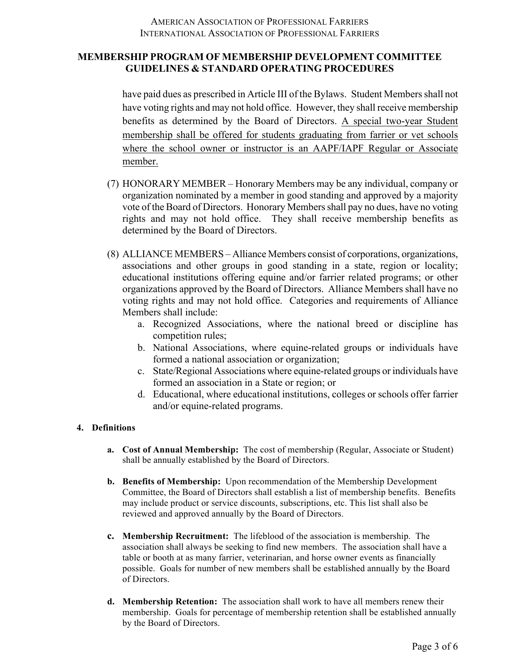have paid dues as prescribed in Article III of the Bylaws. Student Members shall not have voting rights and may not hold office. However, they shall receive membership benefits as determined by the Board of Directors. A special two-year Student membership shall be offered for students graduating from farrier or vet schools where the school owner or instructor is an AAPF/IAPF Regular or Associate member.

- (7) HONORARY MEMBER Honorary Members may be any individual, company or organization nominated by a member in good standing and approved by a majority vote of the Board of Directors. Honorary Members shall pay no dues, have no voting rights and may not hold office. They shall receive membership benefits as determined by the Board of Directors.
- (8) ALLIANCE MEMBERS Alliance Members consist of corporations, organizations, associations and other groups in good standing in a state, region or locality; educational institutions offering equine and/or farrier related programs; or other organizations approved by the Board of Directors. Alliance Members shall have no voting rights and may not hold office. Categories and requirements of Alliance Members shall include:
	- a. Recognized Associations, where the national breed or discipline has competition rules;
	- b. National Associations, where equine-related groups or individuals have formed a national association or organization;
	- c. State/Regional Associations where equine-related groups or individuals have formed an association in a State or region; or
	- d. Educational, where educational institutions, colleges or schools offer farrier and/or equine-related programs.

## **4. Definitions**

- **a. Cost of Annual Membership:** The cost of membership (Regular, Associate or Student) shall be annually established by the Board of Directors.
- **b. Benefits of Membership:** Upon recommendation of the Membership Development Committee, the Board of Directors shall establish a list of membership benefits. Benefits may include product or service discounts, subscriptions, etc. This list shall also be reviewed and approved annually by the Board of Directors.
- **c. Membership Recruitment:** The lifeblood of the association is membership. The association shall always be seeking to find new members. The association shall have a table or booth at as many farrier, veterinarian, and horse owner events as financially possible. Goals for number of new members shall be established annually by the Board of Directors.
- **d. Membership Retention:** The association shall work to have all members renew their membership. Goals for percentage of membership retention shall be established annually by the Board of Directors.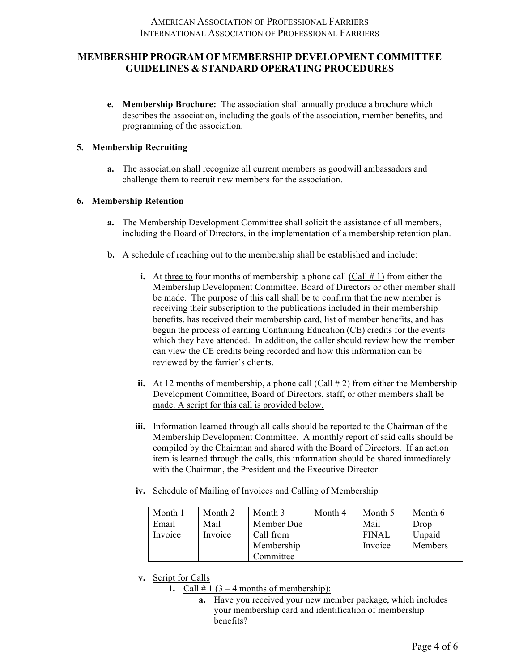**e. Membership Brochure:** The association shall annually produce a brochure which describes the association, including the goals of the association, member benefits, and programming of the association.

#### **5. Membership Recruiting**

**a.** The association shall recognize all current members as goodwill ambassadors and challenge them to recruit new members for the association.

#### **6. Membership Retention**

- **a.** The Membership Development Committee shall solicit the assistance of all members, including the Board of Directors, in the implementation of a membership retention plan.
- **b.** A schedule of reaching out to the membership shall be established and include:
	- **i.** At three to four months of membership a phone call  $(Call \# 1)$  from either the Membership Development Committee, Board of Directors or other member shall be made. The purpose of this call shall be to confirm that the new member is receiving their subscription to the publications included in their membership benefits, has received their membership card, list of member benefits, and has begun the process of earning Continuing Education (CE) credits for the events which they have attended. In addition, the caller should review how the member can view the CE credits being recorded and how this information can be reviewed by the farrier's clients.
	- **ii.** At 12 months of membership, a phone call (Call  $\# 2$ ) from either the Membership Development Committee, Board of Directors, staff, or other members shall be made. A script for this call is provided below.
	- **iii.** Information learned through all calls should be reported to the Chairman of the Membership Development Committee. A monthly report of said calls should be compiled by the Chairman and shared with the Board of Directors. If an action item is learned through the calls, this information should be shared immediately with the Chairman, the President and the Executive Director.
	- **iv.** Schedule of Mailing of Invoices and Calling of Membership

| Month 1 | Month 2 | Month 3    | Month 4 | Month 5      | Month 6 |
|---------|---------|------------|---------|--------------|---------|
| Email   | Mail    | Member Due |         | Mail         | Drop    |
| Invoice | Invoice | Call from  |         | <b>FINAL</b> | Unpaid  |
|         |         | Membership |         | Invoice      | Members |
|         |         | Committee  |         |              |         |

- **v.** Script for Calls
	- **1.** Call  $\#$  1 (3 4 months of membership):
		- **a.** Have you received your new member package, which includes your membership card and identification of membership benefits?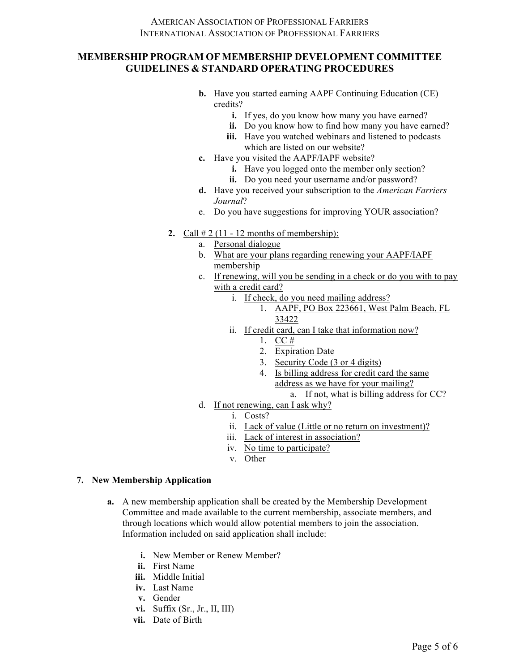- **b.** Have you started earning AAPF Continuing Education (CE) credits?
	- **i.** If yes, do you know how many you have earned?
	- **ii.** Do you know how to find how many you have earned?
	- **iii.** Have you watched webinars and listened to podcasts which are listed on our website?
- **c.** Have you visited the AAPF/IAPF website?
	- **i.** Have you logged onto the member only section?
	- **ii.** Do you need your username and/or password?
- **d.** Have you received your subscription to the *American Farriers Journal*?
- e. Do you have suggestions for improving YOUR association?
- **2.** Call  $\# 2$  (11 12 months of membership):
	- a. Personal dialogue
	- b. What are your plans regarding renewing your AAPF/IAPF membership
	- c. If renewing, will you be sending in a check or do you with to pay with a credit card?
		- i. If check, do you need mailing address?
			- 1. AAPF, PO Box 223661, West Palm Beach, FL 33422
		- ii. If credit card, can I take that information now?
			- 1. CC #
			- 2. Expiration Date
			- 3. Security Code (3 or 4 digits)
			- 4. Is billing address for credit card the same address as we have for your mailing?
				- a. If not, what is billing address for CC?
	- d. If not renewing, can I ask why?
		- i. Costs?
		- ii. Lack of value (Little or no return on investment)?
		- iii. Lack of interest in association?
		- iv. No time to participate?
		- v. Other

#### **7. New Membership Application**

- **a.** A new membership application shall be created by the Membership Development Committee and made available to the current membership, associate members, and through locations which would allow potential members to join the association. Information included on said application shall include:
	- **i.** New Member or Renew Member?
	- **ii.** First Name
	- **iii.** Middle Initial
	- **iv.** Last Name
	- **v.** Gender
	- **vi.** Suffix (Sr., Jr., II, III)
	- **vii.** Date of Birth